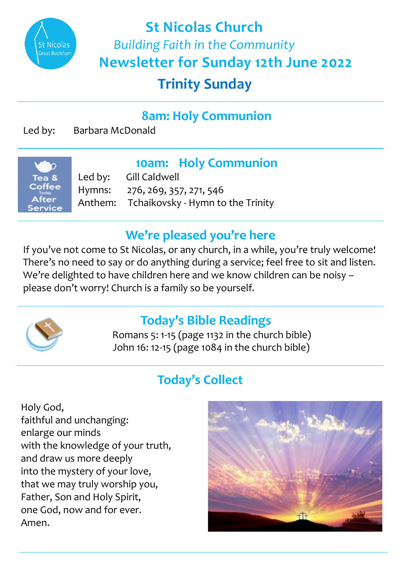

**Trinity Sunday St Nicolas Church**  *Building Faith in the Community*  **Newsletter for Sunday 12th June 2022**

# **8am: Holy Communion**

Led by: Barbara McDonald



**10am: Holy Communion**<br>Led by: Gill Caldwell Gill Caldwell Hymns: 276, 269, 357, 271, 546 Anthem: Tchaikovsky - Hymn to the Trinity

#### **We're pleased you're here**

If you've not come to St Nicolas, or any church, in a while, you're truly welcome! There's no need to say or do anything during a service; feel free to sit and listen. We're delighted to have children here and we know children can be noisy – please don't worry! Church is a family so be yourself.



## **Today's Bible Readings**

 Romans 5: 1-15 (page 1132 in the church bible) John 16: 12-15 (page 1084 in the church bible)

## **Today's Collect**

Holy God, faithful and unchanging: enlarge our minds with the knowledge of your truth, and draw us more deeply into the mystery of your love, that we may truly worship you, Father, Son and Holy Spirit, one God, now and for ever. Amen.

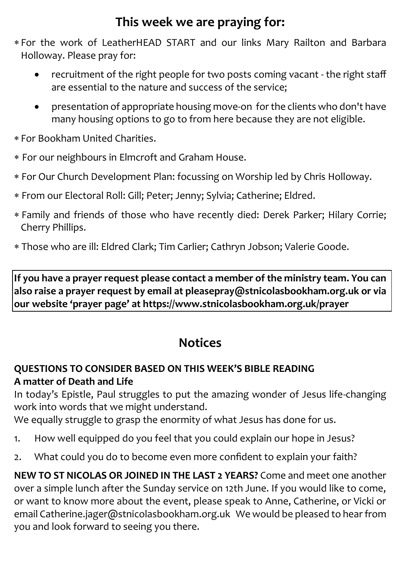## **This week we are praying for:**

- For the work of LeatherHEAD START and our links Mary Railton and Barbara Holloway. Please pray for:
	- recruitment of the right people for two posts coming vacant the right staff are essential to the nature and success of the service;
	- presentation of appropriate housing move-on for the clients who don't have many housing options to go to from here because they are not eligible.
- For Bookham United Charities.
- For our neighbours in Elmcroft and Graham House.
- For Our Church Development Plan: focussing on Worship led by Chris Holloway.
- From our Electoral Roll: Gill; Peter; Jenny; Sylvia; Catherine; Eldred.
- Family and friends of those who have recently died: Derek Parker; Hilary Corrie; Cherry Phillips.
- Those who are ill: Eldred Clark; Tim Carlier; Cathryn Jobson; Valerie Goode.

**If you have a prayer request please contact a member of the ministry team. You can also raise a prayer request by email at pleasepray@stnicolasbookham.org.uk or via our website 'prayer page' at https://www.stnicolasbookham.org.uk/prayer**

## **Notices**

#### **QUESTIONS TO CONSIDER BASED ON THIS WEEK'S BIBLE READING A matter of Death and Life**

In today's Epistle, Paul struggles to put the amazing wonder of Jesus life-changing work into words that we might understand.

We equally struggle to grasp the enormity of what Jesus has done for us.

- 1. How well equipped do you feel that you could explain our hope in Jesus?
- 2. What could you do to become even more confident to explain your faith?

**NEW TO ST NICOLAS OR JOINED IN THE LAST 2 YEARS?** Come and meet one another over a simple lunch after the Sunday service on 12th June. If you would like to come, or want to know more about the event, please speak to Anne, Catherine, or Vicki or email Catherine.jager@stnicolasbookham.org.uk We would be pleased to hear from you and look forward to seeing you there.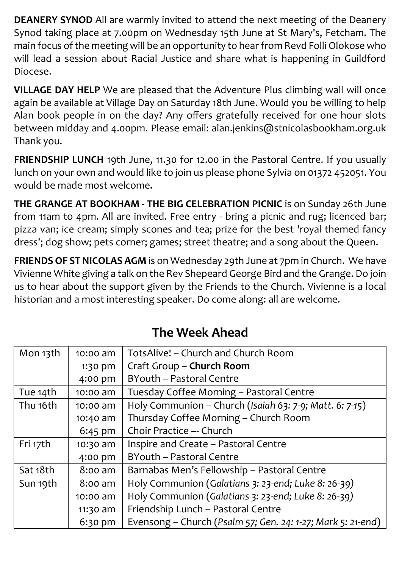**DEANERY SYNOD** All are warmly invited to attend the next meeting of the Deanery Synod taking place at 7.00pm on Wednesday 15th June at St Mary's, Fetcham. The main focus of the meeting will be an opportunity to hear from Revd Folli Olokose who will lead a session about Racial Justice and share what is happening in Guildford Diocese.

**VILLAGE DAY HELP** We are pleased that the Adventure Plus climbing wall will once again be available at Village Day on Saturday 18th June. Would you be willing to help Alan book people in on the day? Any offers gratefully received for one hour slots between midday and 4.00pm. Please email: alan.jenkins@stnicolasbookham.org.uk Thank you.

**FRIENDSHIP LUNCH** 19th June, 11.30 for 12.00 in the Pastoral Centre. If you usually lunch on your own and would like to join us please phone Sylvia on 01372 452051. You would be made most welcome**.**

**THE GRANGE AT BOOKHAM - THE BIG CELEBRATION PICNIC** is on Sunday 26th June from 11am to 4pm. All are invited. Free entry - bring a picnic and rug; licenced bar; pizza van; ice cream; simply scones and tea; prize for the best 'royal themed fancy dress'; dog show; pets corner; games; street theatre; and a song about the Queen.

**FRIENDS OF ST NICOLAS AGM** is on Wednesday 29th June at 7pm in Church. We have Vivienne White giving a talk on the Rev Shepeard George Bird and the Grange. Do join us to hear about the support given by the Friends to the Church. Vivienne is a local historian and a most interesting speaker. Do come along: all are welcome.

| Mon 13th | $10:00$ am | TotsAlive! – Church and Church Room                         |
|----------|------------|-------------------------------------------------------------|
|          | 1:30 pm    | Craft Group - Church Room                                   |
|          | 4:00 pm    | BYouth - Pastoral Centre                                    |
| Tue 14th | 10:00 am   | Tuesday Coffee Morning - Pastoral Centre                    |
| Thu 16th | 10:00 am   | Holy Communion - Church (Isaiah 63: 7-9; Matt. 6: 7-15)     |
|          | 10:40 am   | Thursday Coffee Morning - Church Room                       |
|          | $6:45$ pm  | Choir Practice -- Church                                    |
| Fri 17th | 10:30 am   | Inspire and Create - Pastoral Centre                        |
|          | 4:00 pm    | BYouth - Pastoral Centre                                    |
| Sat 18th | 8:00 am    | Barnabas Men's Fellowship - Pastoral Centre                 |
| Sun 19th | $8:00$ am  | Holy Communion (Galatians 3: 23-end; Luke 8: 26-39)         |
|          | $10:00$ am | Holy Communion (Galatians 3: 23-end; Luke 8: 26-39)         |
|          | 11:30 am   | Friendship Lunch - Pastoral Centre                          |
|          | 6:30 pm    | Evensong - Church (Psalm 57; Gen. 24: 1-27; Mark 5: 21-end) |

# **The Week Ahead**